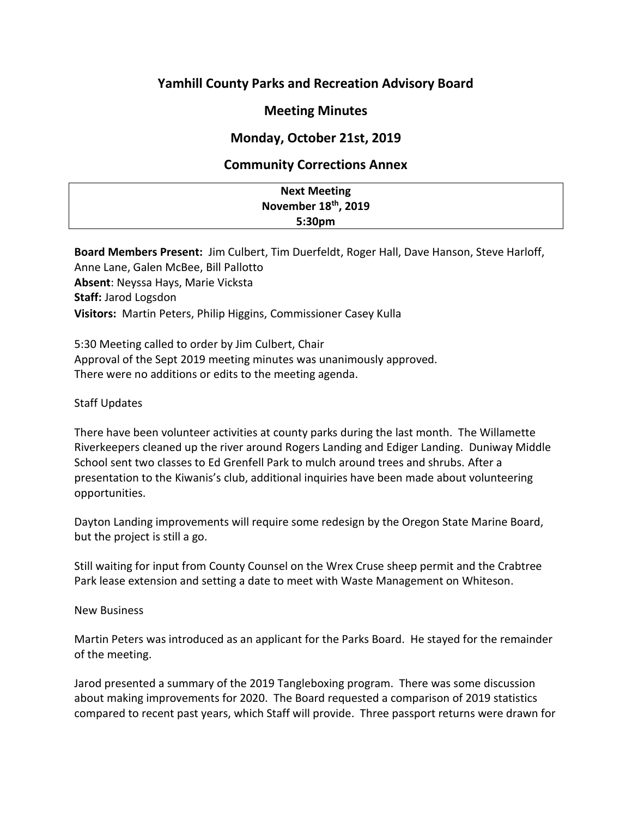# **Yamhill County Parks and Recreation Advisory Board**

## **Meeting Minutes**

## **Monday, October 21st, 2019**

### **Community Corrections Annex**

| <b>Next Meeting</b>              |
|----------------------------------|
| November 18 <sup>th</sup> , 2019 |
| 5:30pm                           |

**Board Members Present:** Jim Culbert, Tim Duerfeldt, Roger Hall, Dave Hanson, Steve Harloff, Anne Lane, Galen McBee, Bill Pallotto **Absent**: Neyssa Hays, Marie Vicksta **Staff:** Jarod Logsdon **Visitors:** Martin Peters, Philip Higgins, Commissioner Casey Kulla

5:30 Meeting called to order by Jim Culbert, Chair Approval of the Sept 2019 meeting minutes was unanimously approved. There were no additions or edits to the meeting agenda.

### Staff Updates

There have been volunteer activities at county parks during the last month. The Willamette Riverkeepers cleaned up the river around Rogers Landing and Ediger Landing. Duniway Middle School sent two classes to Ed Grenfell Park to mulch around trees and shrubs. After a presentation to the Kiwanis's club, additional inquiries have been made about volunteering opportunities.

Dayton Landing improvements will require some redesign by the Oregon State Marine Board, but the project is still a go.

Still waiting for input from County Counsel on the Wrex Cruse sheep permit and the Crabtree Park lease extension and setting a date to meet with Waste Management on Whiteson.

#### New Business

Martin Peters was introduced as an applicant for the Parks Board. He stayed for the remainder of the meeting.

Jarod presented a summary of the 2019 Tangleboxing program. There was some discussion about making improvements for 2020. The Board requested a comparison of 2019 statistics compared to recent past years, which Staff will provide. Three passport returns were drawn for